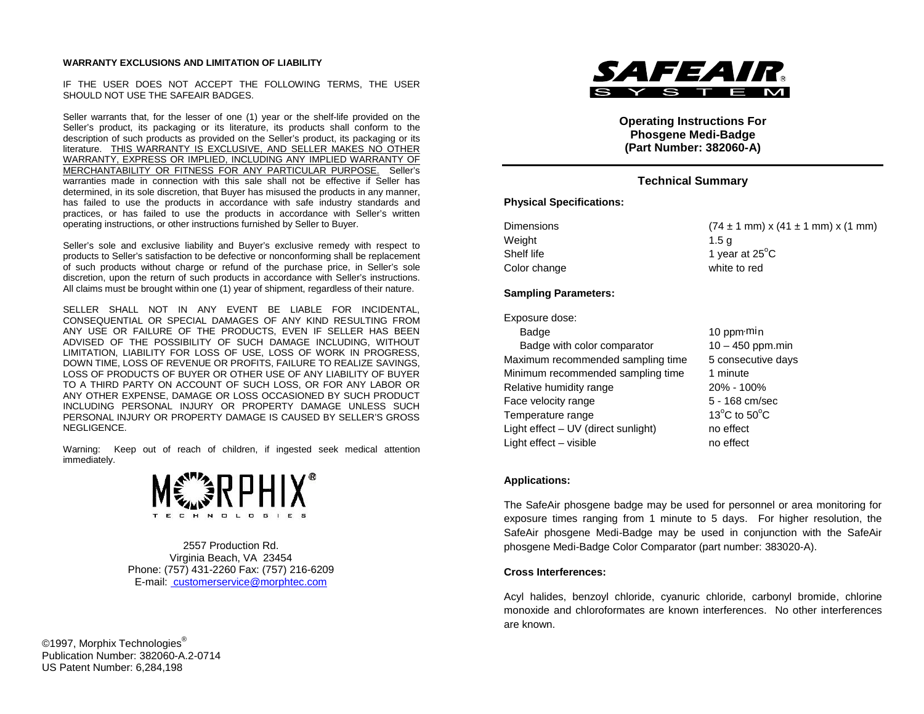#### **WARRANTY EXCLUSIONS AND LIMITATION OF LIABILITY**

IF THE USER DOES NOT ACCEPT THE FOLLOWING TERMS, THE USER SHOULD NOT USE THE SAFEAIR BADGES.

Seller warrants that, for the lesser of one (1) year or the shelf-life provided on the Seller's product, its packaging or its literature, its products shall conform to the description of such products as provided on the Seller's product, its packaging or its literature. THIS WARRANTY IS EXCLUSIVE, AND SELLER MAKES NO OTHER WARRANTY, EXPRESS OR IMPLIED, INCLUDING ANY IMPLIED WARRANTY OF MERCHANTABILITY OR FITNESS FOR ANY PARTICULAR PURPOSE. Seller's warranties made in connection with this sale shall not be effective if Seller has determined, in its sole discretion, that Buyer has misused the products in any manner, has failed to use the products in accordance with safe industry standards and practices, or has failed to use the products in accordance with Seller's written operating instructions, or other instructions furnished by Seller to Buyer.

Seller's sole and exclusive liability and Buyer's exclusive remedy with respect to products to Seller's satisfaction to be defective or nonconforming shall be replacement of such products without charge or refund of the purchase price, in Seller's sole discretion, upon the return of such products in accordance with Seller's instructions. All claims must be brought within one (1) year of shipment, regardless of their nature.

SELLER SHALL NOT IN ANY EVENT BE LIABLE FOR INCIDENTAL, CONSEQUENTIAL OR SPECIAL DAMAGES OF ANY KIND RESULTING FROM ANY USE OR FAILURE OF THE PRODUCTS, EVEN IF SELLER HAS BEEN ADVISED OF THE POSSIBILITY OF SUCH DAMAGE INCLUDING, WITHOUT LIMITATION, LIABILITY FOR LOSS OF USE, LOSS OF WORK IN PROGRESS, DOWN TIME, LOSS OF REVENUE OR PROFITS, FAILURE TO REALIZE SAVINGS, LOSS OF PRODUCTS OF BUYER OR OTHER USE OF ANY LIABILITY OF BUYER TO A THIRD PARTY ON ACCOUNT OF SUCH LOSS, OR FOR ANY LABOR OR ANY OTHER EXPENSE, DAMAGE OR LOSS OCCASIONED BY SUCH PRODUCT INCLUDING PERSONAL INJURY OR PROPERTY DAMAGE UNLESS SUCH PERSONAL INJURY OR PROPERTY DAMAGE IS CAUSED BY SELLER'S GROSS NEGLIGENCE.

Warning: Keep out of reach of children, if ingested seek medical attention immediately.



2557 Production Rd. Virginia Beach, VA 23454 Phone: (757) 431-2260 Fax: (757) 216-6209 E-mail: customerservice@morphtec.com

©1997, Morphix Technologies<sup>®</sup> Publication Number: 382060-A.2-0714 US Patent Number: 6,284,198



**Operating Instructions For Phosgene Medi-Badge (Part Number: 382060-A)**

# **Technical Summary**

### **Physical Specifications:**

Weight 1.5 g Shelf life  $\blacksquare$  1 year at 25 $\mathrm{^{\circ}C}$ Color change white to red

Dimensions  $(74 \pm 1 \text{ mm}) \times (41 \pm 1 \text{ mm}) \times (1 \text{ mm})$ 

### **Sampling Parameters:**

Exposure dose:

| Badge                               | 10 ppm·min                                         |
|-------------------------------------|----------------------------------------------------|
| Badge with color comparator         | $10 - 450$ ppm.min                                 |
| Maximum recommended sampling time   | 5 consecutive days                                 |
| Minimum recommended sampling time   | 1 minute                                           |
| Relative humidity range             | 20% - 100%                                         |
| Face velocity range                 | 5 - 168 cm/sec                                     |
| Temperature range                   | 13 $\mathrm{^{\circ}C}$ to 50 $\mathrm{^{\circ}C}$ |
| Light effect - UV (direct sunlight) | no effect                                          |
| Light effect - visible              | no effect                                          |
|                                     |                                                    |

#### **Applications:**

The SafeAir phosgene badge may be used for personnel or area monitoring for exposure times ranging from 1 minute to 5 days. For higher resolution, the SafeAir phosgene Medi-Badge may be used in conjunction with the SafeAir phosgene Medi-Badge Color Comparator (part number: 383020-A).

#### **Cross Interferences:**

Acyl halides, benzoyl chloride, cyanuric chloride, carbonyl bromide, chlorine monoxide and chloroformates are known interferences. No other interferences are known.